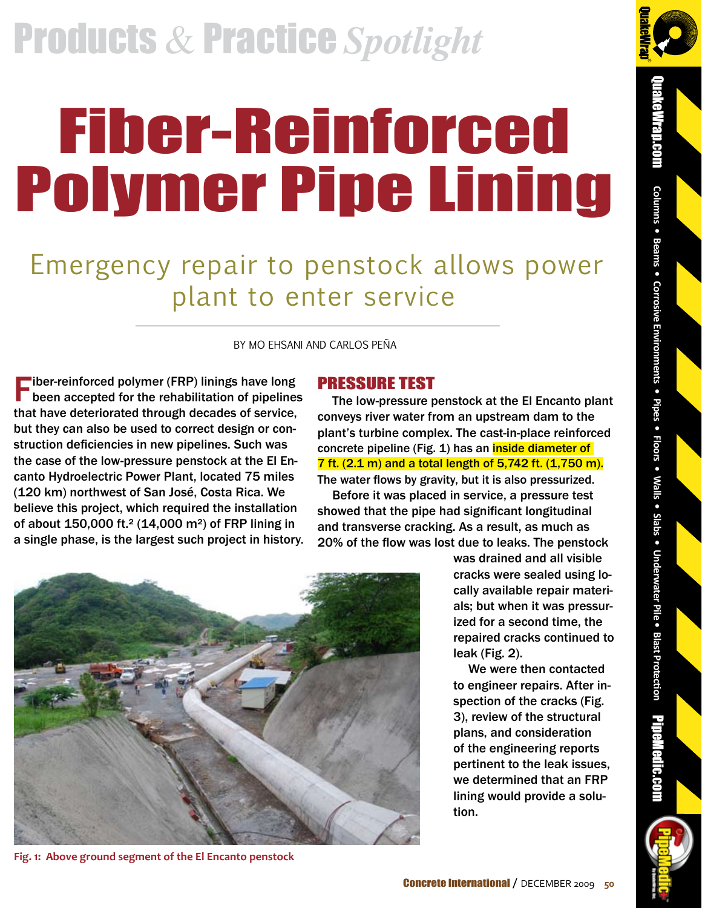## Products & Practice *Spotlight*

# Fiber-Reinforced Polymer Pipe Lining



 $\equiv$ a k e Wra

## Emergency repair to penstock allows power plant to enter service

BY MO EHSANI AND CARLOS PEÑA

Fiber-reinforced polymer (FRP) linings have long **F** been accepted for the rehabilitation of pipelines that have deteriorated through decades of service, but they can also be used to correct design or construction deficiencies in new pipelines. Such was the case of the low-pressure penstock at the El Encanto Hydroelectric Power Plant, located 75 miles (120 km) northwest of San José, Costa Rica. We believe this project, which required the installation of about 150,000 ft.² (14,000 m²) of FRP lining in a single phase, is the largest such project in history.

#### PRESSURE TEST

The low-pressure penstock at the El Encanto plant conveys river water from an upstream dam to the plant's turbine complex. The cast-in-place reinforced concrete pipeline (Fig. 1) has an **inside diameter of** 7 ft. (2.1 m) and a total length of 5,742 ft. (1,750 m).

The water flows by gravity, but it is also pressurized.

Before it was placed in service, a pressure test showed that the pipe had significant longitudinal and transverse cracking. As a result, as much as 20% of the flow was lost due to leaks. The penstock



was drained and all visible cracks were sealed using locally available repair materials; but when it was pressurized for a second time, the repaired cracks continued to leak (Fig. 2).

We were then contacted to engineer repairs. After inspection of the cracks (Fig. 3), review of the structural plans, and consideration of the engineering reports pertinent to the leak issues, we determined that an FRP lining would provide a solution.

**Fig. 1: Above ground segment of the El Encanto penstock**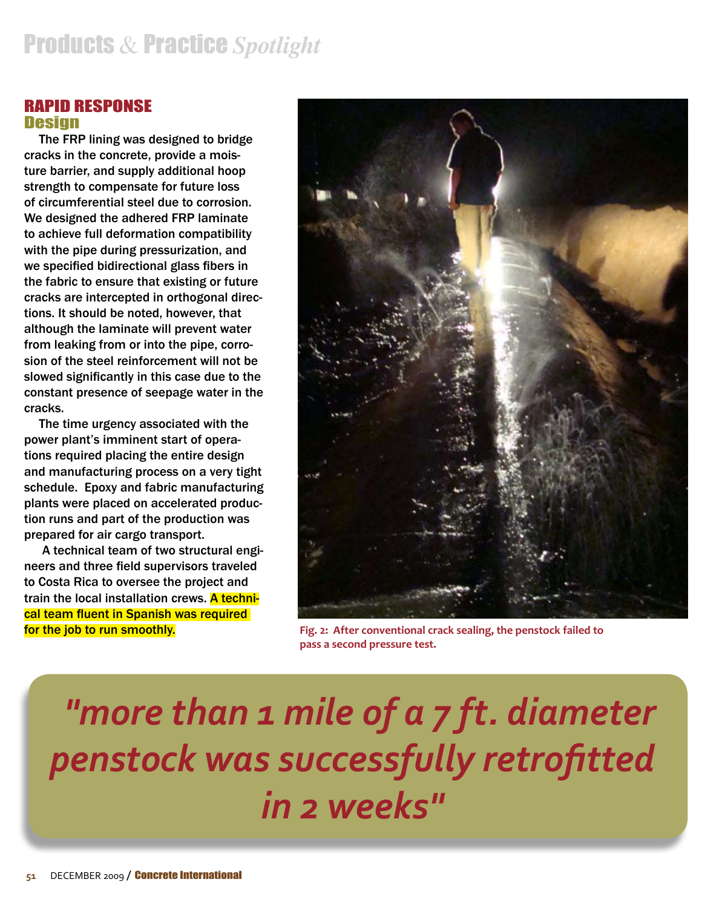#### RAPID RESPONSE Design

The FRP lining was designed to bridge cracks in the concrete, provide a moisture barrier, and supply additional hoop strength to compensate for future loss of circumferential steel due to corrosion. We designed the adhered FRP laminate to achieve full deformation compatibility with the pipe during pressurization, and we specified bidirectional glass fibers in the fabric to ensure that existing or future cracks are intercepted in orthogonal directions. It should be noted, however, that although the laminate will prevent water from leaking from or into the pipe, corrosion of the steel reinforcement will not be slowed significantly in this case due to the constant presence of seepage water in the cracks.

The time urgency associated with the power plant's imminent start of operations required placing the entire design and manufacturing process on a very tight schedule. Epoxy and fabric manufacturing plants were placed on accelerated production runs and part of the production was prepared for air cargo transport.

 A technical team of two structural engineers and three field supervisors traveled to Costa Rica to oversee the project and train the local installation crews. A technical team fluent in Spanish was required for the job to run smoothly.



**Fig. 2: After conventional crack sealing, the penstock failed to pass a second pressure test.**

# *"more than 1 mile of a 7 ft. diameter penstock was successfully retrofitted in 2 weeks"*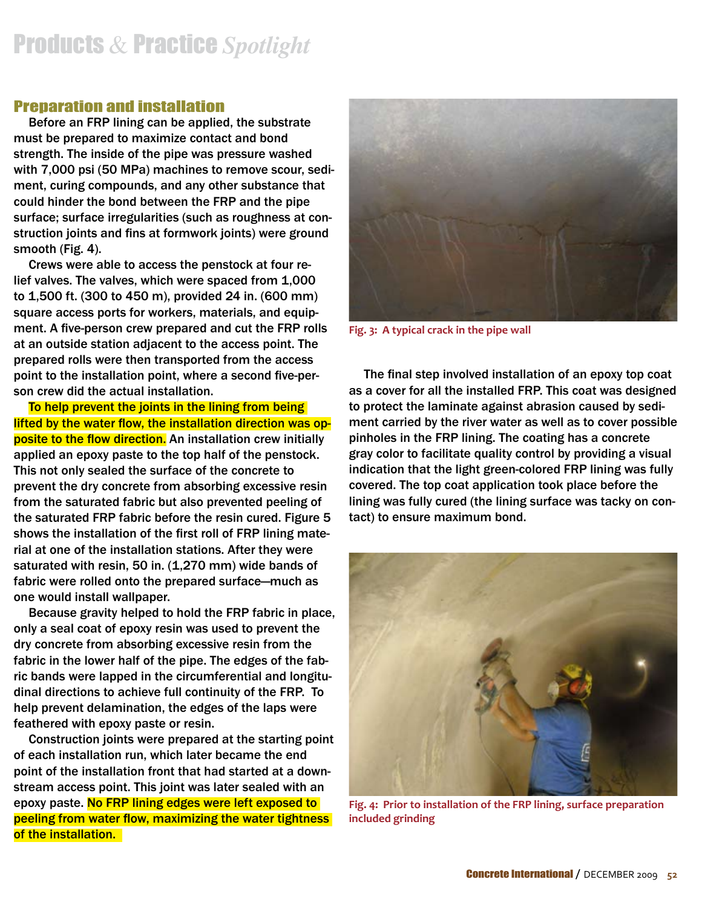#### Preparation and installation

Before an FRP lining can be applied, the substrate must be prepared to maximize contact and bond strength. The inside of the pipe was pressure washed with 7,000 psi (50 MPa) machines to remove scour, sediment, curing compounds, and any other substance that could hinder the bond between the FRP and the pipe surface; surface irregularities (such as roughness at construction joints and fins at formwork joints) were ground smooth (Fig. 4).

Crews were able to access the penstock at four relief valves. The valves, which were spaced from 1,000 to 1,500 ft. (300 to 450 m), provided 24 in. (600 mm) square access ports for workers, materials, and equipment. A five-person crew prepared and cut the FRP rolls at an outside station adjacent to the access point. The prepared rolls were then transported from the access point to the installation point, where a second five-person crew did the actual installation.

To help prevent the joints in the lining from being lifted by the water flow, the installation direction was opposite to the flow direction. An installation crew initially applied an epoxy paste to the top half of the penstock. This not only sealed the surface of the concrete to prevent the dry concrete from absorbing excessive resin from the saturated fabric but also prevented peeling of the saturated FRP fabric before the resin cured. Figure 5 shows the installation of the first roll of FRP lining material at one of the installation stations. After they were saturated with resin, 50 in. (1,270 mm) wide bands of fabric were rolled onto the prepared surface—much as one would install wallpaper.

Because gravity helped to hold the FRP fabric in place, only a seal coat of epoxy resin was used to prevent the dry concrete from absorbing excessive resin from the fabric in the lower half of the pipe. The edges of the fabric bands were lapped in the circumferential and longitudinal directions to achieve full continuity of the FRP. To help prevent delamination, the edges of the laps were feathered with epoxy paste or resin.

Construction joints were prepared at the starting point of each installation run, which later became the end point of the installation front that had started at a downstream access point. This joint was later sealed with an epoxy paste. No FRP lining edges were left exposed to peeling from water flow, maximizing the water tightness of the installation.



**Fig. 3: A typical crack in the pipe wall**

The final step involved installation of an epoxy top coat as a cover for all the installed FRP. This coat was designed to protect the laminate against abrasion caused by sediment carried by the river water as well as to cover possible pinholes in the FRP lining. The coating has a concrete gray color to facilitate quality control by providing a visual indication that the light green-colored FRP lining was fully covered. The top coat application took place before the lining was fully cured (the lining surface was tacky on contact) to ensure maximum bond.



**Fig. 4: Prior to installation of the FRP lining, surface preparation included grinding**